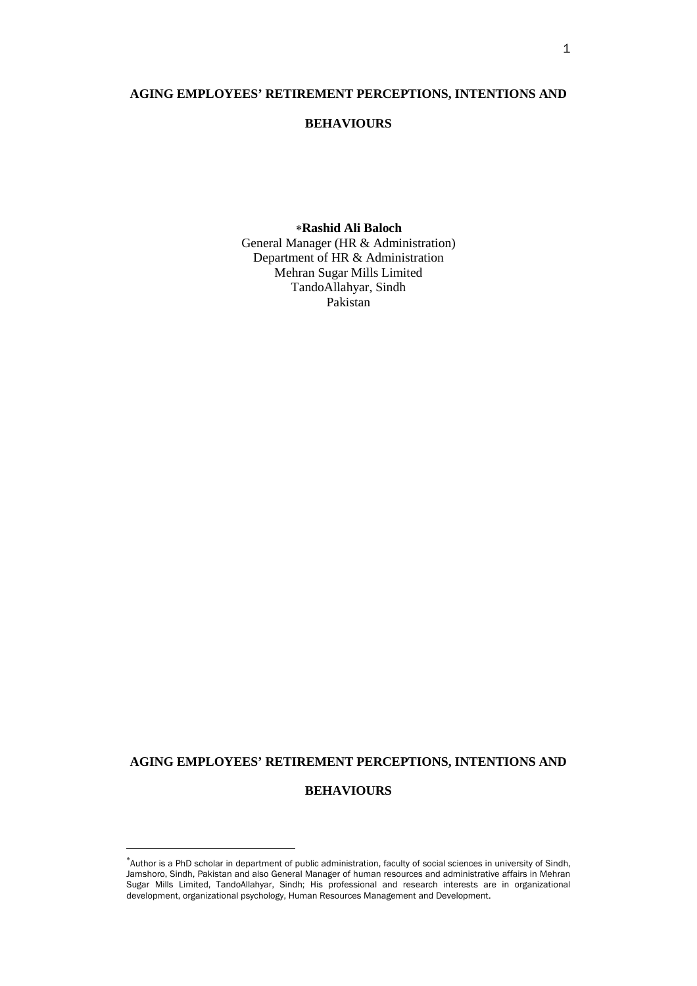## **AGING EMPLOYEES' RETIREMENT PERCEPTIONS, INTENTIONS AND**

# **BEHAVIOURS**

## [∗](#page-0-0) **Rashid Ali Baloch**

General Manager (HR & Administration) Department of HR & Administration Mehran Sugar Mills Limited TandoAllahyar, Sindh Pakistan

## **AGING EMPLOYEES' RETIREMENT PERCEPTIONS, INTENTIONS AND**

# **BEHAVIOURS**

 $\overline{a}$ 

<span id="page-0-0"></span><sup>∗</sup> Author is a PhD scholar in department of public administration, faculty of social sciences in university of Sindh, Jamshoro, Sindh, Pakistan and also General Manager of human resources and administrative affairs in Mehran Sugar Mills Limited, TandoAllahyar, Sindh; His professional and research interests are in organizational development, organizational psychology, Human Resources Management and Development.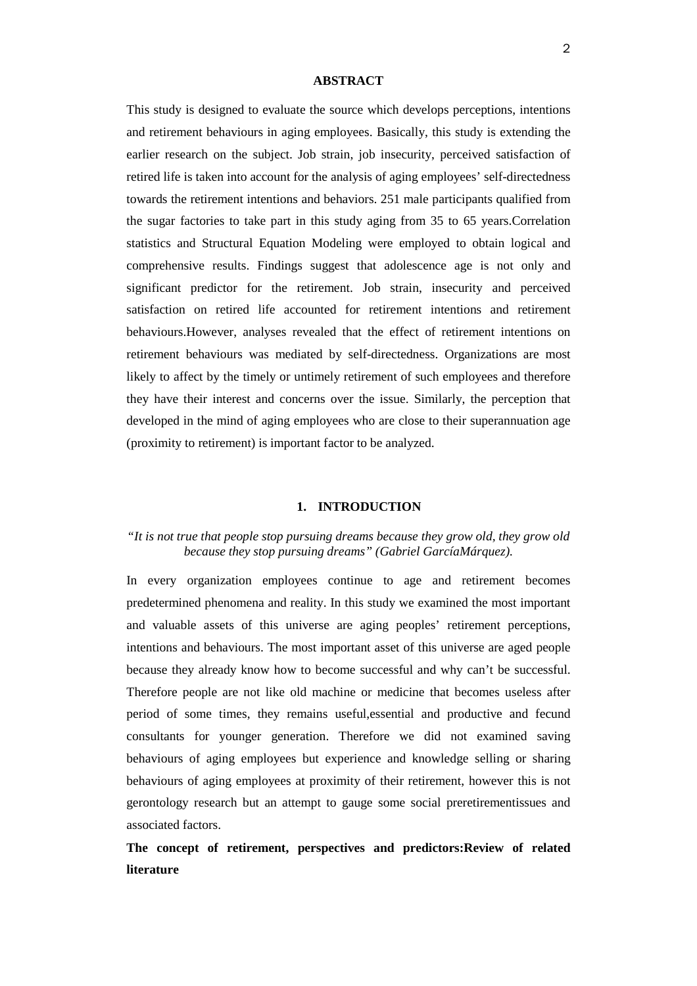### **ABSTRACT**

This study is designed to evaluate the source which develops perceptions, intentions and retirement behaviours in aging employees. Basically, this study is extending the earlier research on the subject. Job strain, job insecurity, perceived satisfaction of retired life is taken into account for the analysis of aging employees' self-directedness towards the retirement intentions and behaviors. 251 male participants qualified from the sugar factories to take part in this study aging from 35 to 65 years.Correlation statistics and Structural Equation Modeling were employed to obtain logical and comprehensive results. Findings suggest that adolescence age is not only and significant predictor for the retirement. Job strain, insecurity and perceived satisfaction on retired life accounted for retirement intentions and retirement behaviours.However, analyses revealed that the effect of retirement intentions on retirement behaviours was mediated by self-directedness. Organizations are most likely to affect by the timely or untimely retirement of such employees and therefore they have their interest and concerns over the issue. Similarly, the perception that developed in the mind of aging employees who are close to their superannuation age (proximity to retirement) is important factor to be analyzed.

### **1. INTRODUCTION**

# *"It is not true that people stop pursuing dreams because they grow old, they grow old because they stop pursuing dreams" [\(Gabriel GarcíaMárquez\)](https://www.facebook.com/GabrielGarciaMarquezAuthor?ref=stream).*

In every organization employees continue to age and retirement becomes predetermined phenomena and reality. In this study we examined the most important and valuable assets of this universe are aging peoples' retirement perceptions, intentions and behaviours. The most important asset of this universe are aged people because they already know how to become successful and why can't be successful. Therefore people are not like old machine or medicine that becomes useless after period of some times, they remains useful,essential and productive and fecund consultants for younger generation. Therefore we did not examined saving behaviours of aging employees but experience and knowledge selling or sharing behaviours of aging employees at proximity of their retirement, however this is not gerontology research but an attempt to gauge some social preretirementissues and associated factors.

**The concept of retirement, perspectives and predictors:Review of related literature**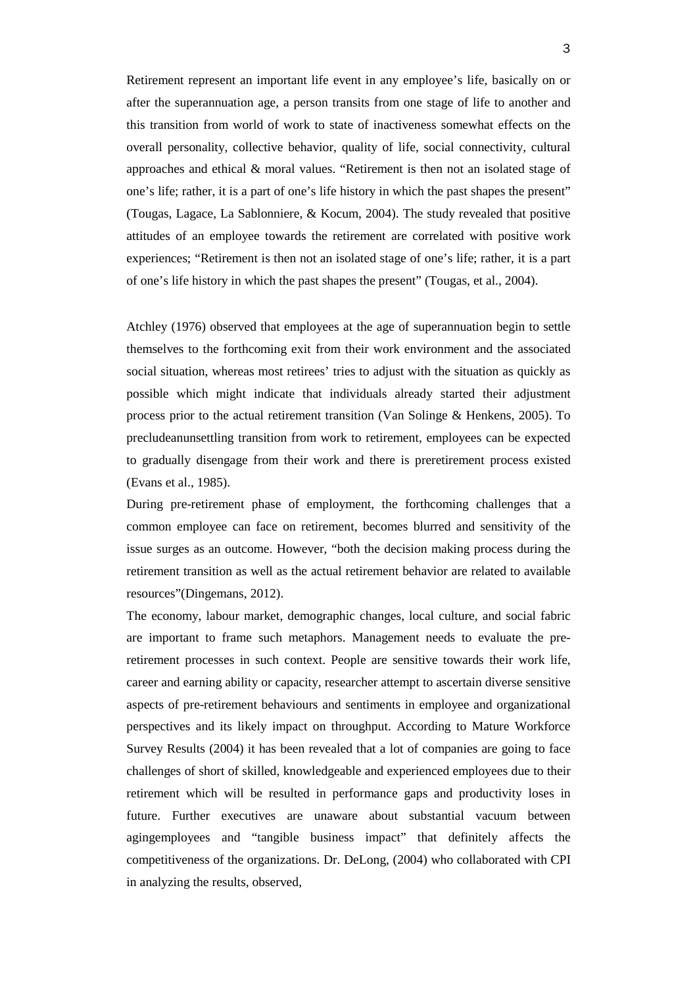Retirement represent an important life event in any employee's life, basically on or after the superannuation age, a person transits from one stage of life to another and this transition from world of work to state of inactiveness somewhat effects on the overall personality, collective behavior, quality of life, social connectivity, cultural approaches and ethical & moral values. "Retirement is then not an isolated stage of one's life; rather, it is a part of one's life history in which the past shapes the present" (Tougas, Lagace, La Sablonniere, & Kocum, 2004). The study revealed that positive attitudes of an employee towards the retirement are correlated with positive work experiences; "Retirement is then not an isolated stage of one's life; rather, it is a part of one's life history in which the past shapes the present" (Tougas, et al., 2004).

Atchley (1976) observed that employees at the age of superannuation begin to settle themselves to the forthcoming exit from their work environment and the associated social situation, whereas most retirees' tries to adjust with the situation as quickly as possible which might indicate that individuals already started their adjustment process prior to the actual retirement transition (Van Solinge & Henkens, 2005). To precludeanunsettling transition from work to retirement, employees can be expected to gradually disengage from their work and there is preretirement process existed (Evans et al., 1985).

During pre-retirement phase of employment, the forthcoming challenges that a common employee can face on retirement, becomes blurred and sensitivity of the issue surges as an outcome. However, "both the decision making process during the retirement transition as well as the actual retirement behavior are related to available resources"(Dingemans, 2012).

The economy, labour market, demographic changes, local culture, and social fabric are important to frame such metaphors. Management needs to evaluate the preretirement processes in such context. People are sensitive towards their work life, career and earning ability or capacity, researcher attempt to ascertain diverse sensitive aspects of pre-retirement behaviours and sentiments in employee and organizational perspectives and its likely impact on throughput. According to Mature Workforce Survey Results (2004) it has been revealed that a lot of companies are going to face challenges of short of skilled, knowledgeable and experienced employees due to their retirement which will be resulted in performance gaps and productivity loses in future. Further executives are unaware about substantial vacuum between agingemployees and "tangible business impact" that definitely affects the competitiveness of the organizations. Dr. DeLong, (2004) who collaborated with CPI in analyzing the results, observed,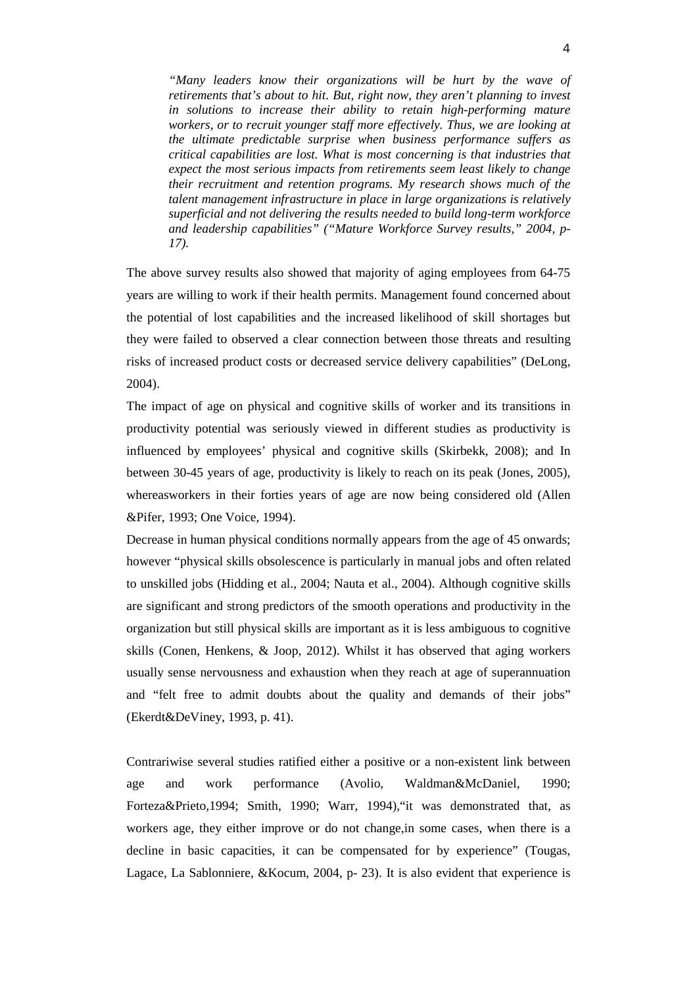*"Many leaders know their organizations will be hurt by the wave of retirements that's about to hit. But, right now, they aren't planning to invest in solutions to increase their ability to retain high-performing mature workers, or to recruit younger staff more effectively. Thus, we are looking at the ultimate predictable surprise when business performance suffers as critical capabilities are lost. What is most concerning is that industries that expect the most serious impacts from retirements seem least likely to change their recruitment and retention programs. My research shows much of the talent management infrastructure in place in large organizations is relatively superficial and not delivering the results needed to build long-term workforce and leadership capabilities" ("Mature Workforce Survey results," 2004, p-17).* 

The above survey results also showed that majority of aging employees from 64-75 years are willing to work if their health permits. Management found concerned about the potential of lost capabilities and the increased likelihood of skill shortages but they were failed to observed a clear connection between those threats and resulting risks of increased product costs or decreased service delivery capabilities" (DeLong, 2004).

The impact of age on physical and cognitive skills of worker and its transitions in productivity potential was seriously viewed in different studies as productivity is influenced by employees' physical and cognitive skills (Skirbekk, 2008); and In between 30-45 years of age, productivity is likely to reach on its peak (Jones, 2005), whereasworkers in their forties years of age are now being considered old (Allen &Pifer, 1993; One Voice, 1994).

Decrease in human physical conditions normally appears from the age of 45 onwards; however "physical skills obsolescence is particularly in manual jobs and often related to unskilled jobs (Hidding et al., 2004; Nauta et al., 2004). Although cognitive skills are significant and strong predictors of the smooth operations and productivity in the organization but still physical skills are important as it is less ambiguous to cognitive skills (Conen, Henkens, & Joop, 2012). Whilst it has observed that aging workers usually sense nervousness and exhaustion when they reach at age of superannuation and "felt free to admit doubts about the quality and demands of their jobs" (Ekerdt&DeViney, 1993, p. 41).

Contrariwise several studies ratified either a positive or a non-existent link between age and work performance (Avolio, Waldman&McDaniel, 1990; Forteza&Prieto,1994; Smith, 1990; Warr, 1994),"it was demonstrated that, as workers age, they either improve or do not change,in some cases, when there is a decline in basic capacities, it can be compensated for by experience" (Tougas, Lagace, La Sablonniere, &Kocum, 2004, p- 23). It is also evident that experience is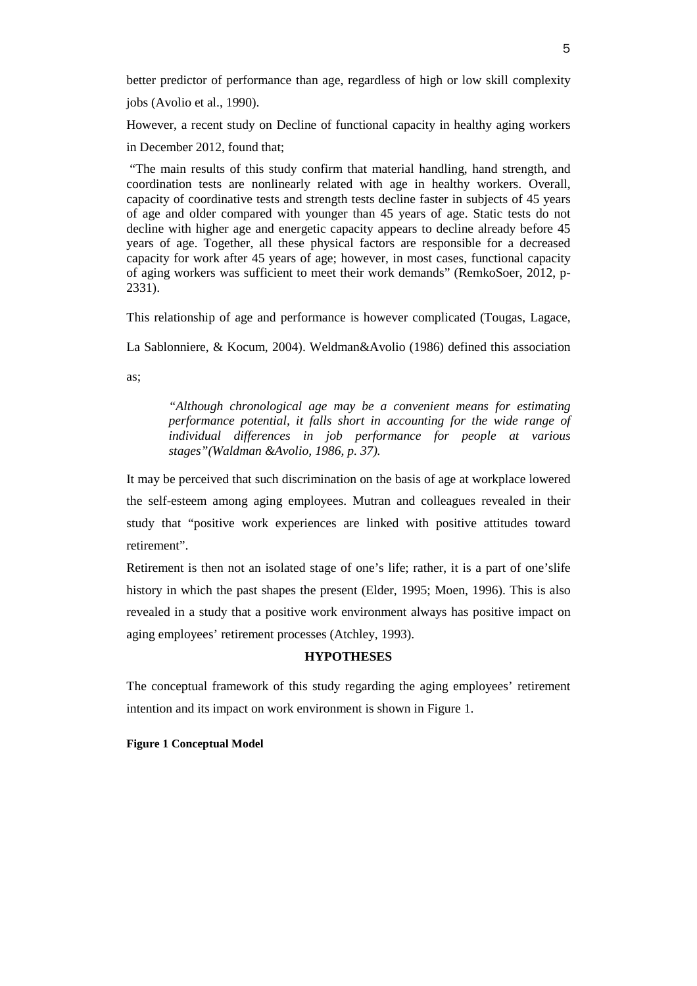better predictor of performance than age, regardless of high or low skill complexity

jobs (Avolio et al., 1990).

However, a recent study on Decline of functional capacity in healthy aging workers

in December 2012, found that;

"The main results of this study confirm that material handling, hand strength, and coordination tests are nonlinearly related with age in healthy workers. Overall, capacity of coordinative tests and strength tests decline faster in subjects of 45 years of age and older compared with younger than 45 years of age. Static tests do not decline with higher age and energetic capacity appears to decline already before 45 years of age. Together, all these physical factors are responsible for a decreased capacity for work after 45 years of age; however, in most cases, functional capacity of aging workers was sufficient to meet their work demands" (RemkoSoer, 2012, p-2331).

This relationship of age and performance is however complicated (Tougas, Lagace,

La Sablonniere, & Kocum, 2004). Weldman&Avolio (1986) defined this association

as;

*"Although chronological age may be a convenient means for estimating performance potential, it falls short in accounting for the wide range of individual differences in job performance for people at various stages"(Waldman &Avolio, 1986, p. 37).* 

It may be perceived that such discrimination on the basis of age at workplace lowered the self-esteem among aging employees. Mutran and colleagues revealed in their study that "positive work experiences are linked with positive attitudes toward retirement".

Retirement is then not an isolated stage of one's life; rather, it is a part of one'slife history in which the past shapes the present (Elder, 1995; Moen, 1996). This is also revealed in a study that a positive work environment always has positive impact on aging employees' retirement processes (Atchley, 1993).

# **HYPOTHESES**

The conceptual framework of this study regarding the aging employees' retirement intention and its impact on work environment is shown in Figure 1.

# **Figure 1 Conceptual Model**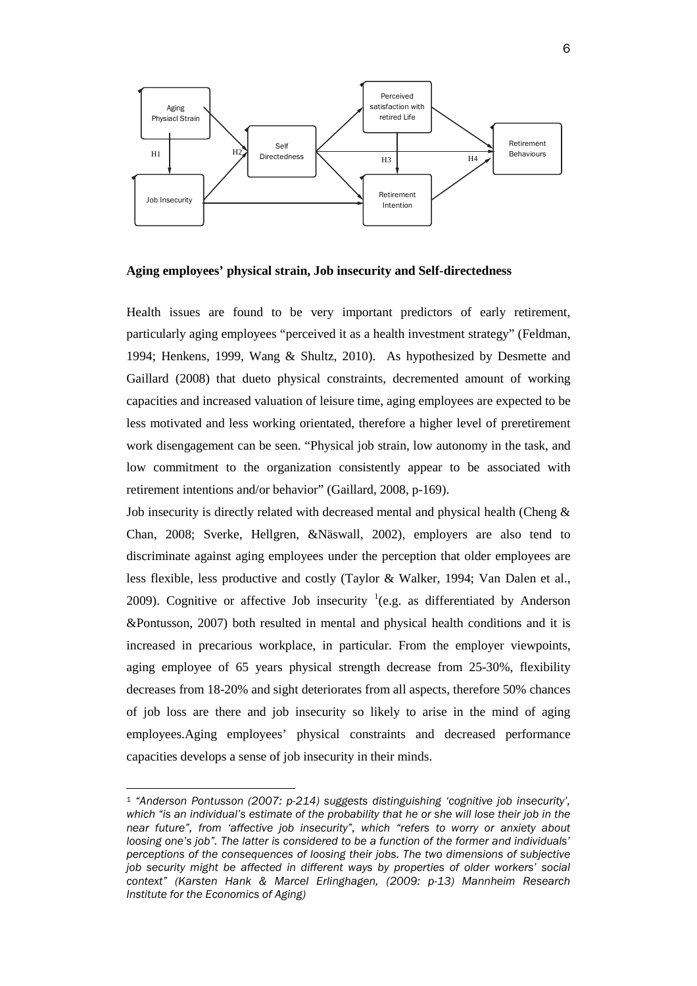

**Aging employees' physical strain, Job insecurity and Self-directedness**

Health issues are found to be very important predictors of early retirement, particularly aging employees "perceived it as a health investment strategy" (Feldman, 1994; Henkens, 1999, Wang & Shultz, 2010). As hypothesized by Desmette and Gaillard (2008) that dueto physical constraints, decremented amount of working capacities and increased valuation of leisure time, aging employees are expected to be less motivated and less working orientated, therefore a higher level of preretirement work disengagement can be seen. "Physical job strain, low autonomy in the task, and low commitment to the organization consistently appear to be associated with retirement intentions and/or behavior" (Gaillard, 2008, p-169).

Job insecurity is directly related with decreased mental and physical health (Cheng & Chan, 2008; Sverke, Hellgren, &Näswall, 2002), employers are also tend to discriminate against aging employees under the perception that older employees are less flexible, less productive and costly (Taylor & Walker, 1994; Van Dalen et al., 2009). Cognitive or affective Job insecurity  $(1 + 1)e$  $(1 + 1)e$  $(1 + 1)e$  as differentiated by Anderson &Pontusson, 2007) both resulted in mental and physical health conditions and it is increased in precarious workplace, in particular. From the employer viewpoints, aging employee of 65 years physical strength decrease from 25-30%, flexibility decreases from 18-20% and sight deteriorates from all aspects, therefore 50% chances of job loss are there and job insecurity so likely to arise in the mind of aging employees.Aging employees' physical constraints and decreased performance capacities develops a sense of job insecurity in their minds.

<span id="page-5-0"></span> <sup>1</sup> *"Anderson Pontusson (2007: p-214) suggests distinguishing 'cognitive job insecurity', which "is an individual's estimate of the probability that he or she will lose their job in the near future", from 'affective job insecurity", which "refers to worry or anxiety about loosing one's job". The latter is considered to be a function of the former and individuals' perceptions of the consequences of loosing their jobs. The two dimensions of subjective job security might be affected in different ways by properties of older workers' social context" (Karsten Hank & Marcel Erlinghagen, (2009: p-13) Mannheim Research Institute for the Economics of Aging)*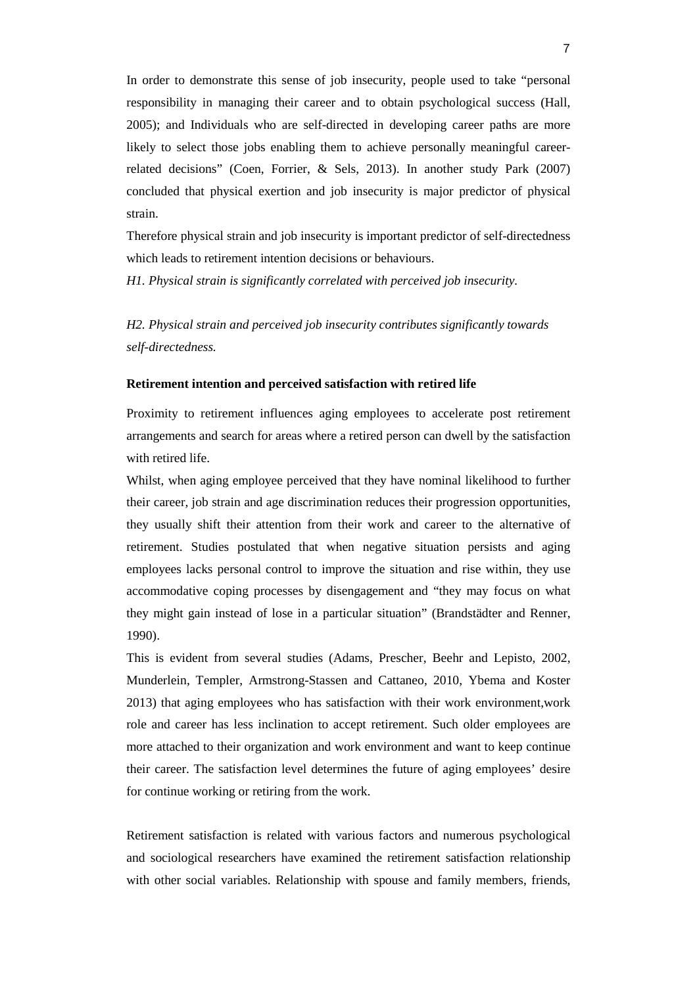In order to demonstrate this sense of job insecurity, people used to take "personal responsibility in managing their career and to obtain psychological success (Hall, 2005); and Individuals who are self-directed in developing career paths are more likely to select those jobs enabling them to achieve personally meaningful careerrelated decisions" (Coen, Forrier, & Sels, 2013). In another study Park (2007) concluded that physical exertion and job insecurity is major predictor of physical strain.

Therefore physical strain and job insecurity is important predictor of self-directedness which leads to retirement intention decisions or behaviours.

*H1. Physical strain is significantly correlated with perceived job insecurity.*

*H2. Physical strain and perceived job insecurity contributes significantly towards self-directedness.* 

### **Retirement intention and perceived satisfaction with retired life**

Proximity to retirement influences aging employees to accelerate post retirement arrangements and search for areas where a retired person can dwell by the satisfaction with retired life.

Whilst, when aging employee perceived that they have nominal likelihood to further their career, job strain and age discrimination reduces their progression opportunities, they usually shift their attention from their work and career to the alternative of retirement. Studies postulated that when negative situation persists and aging employees lacks personal control to improve the situation and rise within, they use accommodative coping processes by disengagement and "they may focus on what they might gain instead of lose in a particular situation" (Brandstädter and Renner, 1990).

This is evident from several studies (Adams, Prescher, Beehr and Lepisto, 2002, Munderlein, Templer, Armstrong-Stassen and Cattaneo, 2010, Ybema and Koster 2013) that aging employees who has satisfaction with their work environment,work role and career has less inclination to accept retirement. Such older employees are more attached to their organization and work environment and want to keep continue their career. The satisfaction level determines the future of aging employees' desire for continue working or retiring from the work.

Retirement satisfaction is related with various factors and numerous psychological and sociological researchers have examined the retirement satisfaction relationship with other social variables. Relationship with spouse and family members, friends,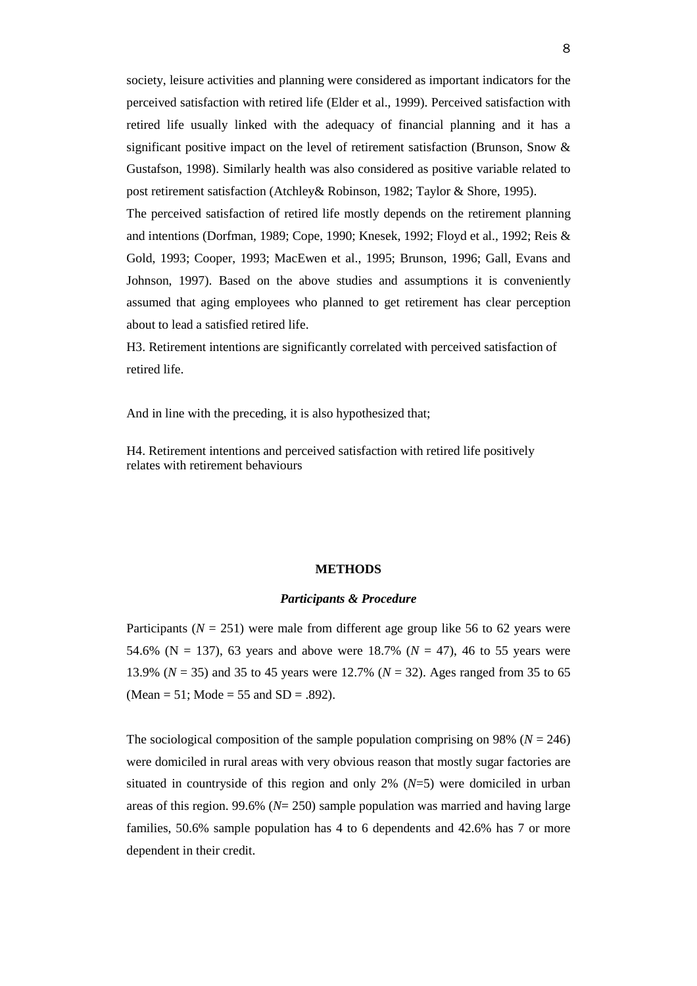society, leisure activities and planning were considered as important indicators for the perceived satisfaction with retired life (Elder et al., 1999). Perceived satisfaction with retired life usually linked with the adequacy of financial planning and it has a significant positive impact on the level of retirement satisfaction (Brunson, Snow & Gustafson, 1998). Similarly health was also considered as positive variable related to post retirement satisfaction (Atchley& Robinson, 1982; Taylor & Shore, 1995).

The perceived satisfaction of retired life mostly depends on the retirement planning and intentions (Dorfman, 1989; Cope, 1990; Knesek, 1992; Floyd et al., 1992; Reis & Gold, 1993; Cooper, 1993; MacEwen et al., 1995; Brunson, 1996; Gall, Evans and Johnson, 1997). Based on the above studies and assumptions it is conveniently assumed that aging employees who planned to get retirement has clear perception about to lead a satisfied retired life.

H3. Retirement intentions are significantly correlated with perceived satisfaction of retired life.

And in line with the preceding, it is also hypothesized that;

H4. Retirement intentions and perceived satisfaction with retired life positively relates with retirement behaviours

### **METHODS**

### *Participants & Procedure*

Participants ( $N = 251$ ) were male from different age group like 56 to 62 years were 54.6% ( $N = 137$ ), 63 years and above were 18.7% ( $N = 47$ ), 46 to 55 years were 13.9% (*N* = 35) and 35 to 45 years were 12.7% (*N* = 32). Ages ranged from 35 to 65 (Mean = 51; Mode = 55 and  $SD = .892$ ).

The sociological composition of the sample population comprising on 98% ( $N = 246$ ) were domiciled in rural areas with very obvious reason that mostly sugar factories are situated in countryside of this region and only 2% (*N*=5) were domiciled in urban areas of this region. 99.6% (*N*= 250) sample population was married and having large families, 50.6% sample population has 4 to 6 dependents and 42.6% has 7 or more dependent in their credit.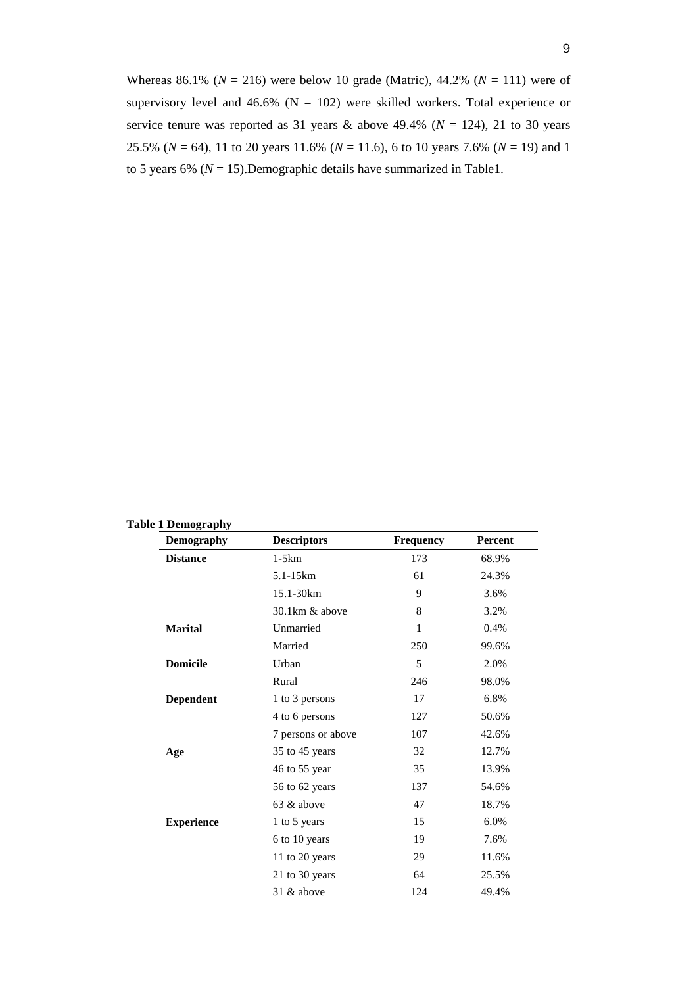Whereas 86.1% ( $N = 216$ ) were below 10 grade (Matric), 44.2% ( $N = 111$ ) were of supervisory level and 46.6% ( $N = 102$ ) were skilled workers. Total experience or service tenure was reported as 31 years  $\&$  above 49.4% ( $N = 124$ ), 21 to 30 years 25.5% (*N* = 64), 11 to 20 years 11.6% (*N* = 11.6), 6 to 10 years 7.6% (*N* = 19) and 1 to 5 years 6% (*N* = 15).Demographic details have summarized in Table1.

| Demography        | <b>Descriptors</b> | <b>Frequency</b> | Percent |
|-------------------|--------------------|------------------|---------|
| <b>Distance</b>   | $1-5km$            | 173              | 68.9%   |
|                   | 5.1-15km           | 61               | 24.3%   |
|                   | 15.1-30km          | 9                | 3.6%    |
|                   | 30.1km & above     | 8                | 3.2%    |
| <b>Marital</b>    | Unmarried          | $\mathbf{1}$     | 0.4%    |
|                   | Married            | 250              | 99.6%   |
| <b>Domicile</b>   | Urban              | 5                | 2.0%    |
|                   | Rural              | 246              | 98.0%   |
| <b>Dependent</b>  | 1 to 3 persons     | 17               | 6.8%    |
|                   | 4 to 6 persons     | 127              | 50.6%   |
|                   | 7 persons or above | 107              | 42.6%   |
| Age               | 35 to 45 years     | 32               | 12.7%   |
|                   | 46 to 55 year      | 35               | 13.9%   |
|                   | 56 to 62 years     | 137              | 54.6%   |
|                   | 63 & above         | 47               | 18.7%   |
| <b>Experience</b> | 1 to 5 years       | 15               | 6.0%    |
|                   | 6 to 10 years      | 19               | 7.6%    |
|                   | 11 to 20 years     | 29               | 11.6%   |
|                   | 21 to 30 years     | 64               | 25.5%   |
|                   | 31 & above         | 124              | 49.4%   |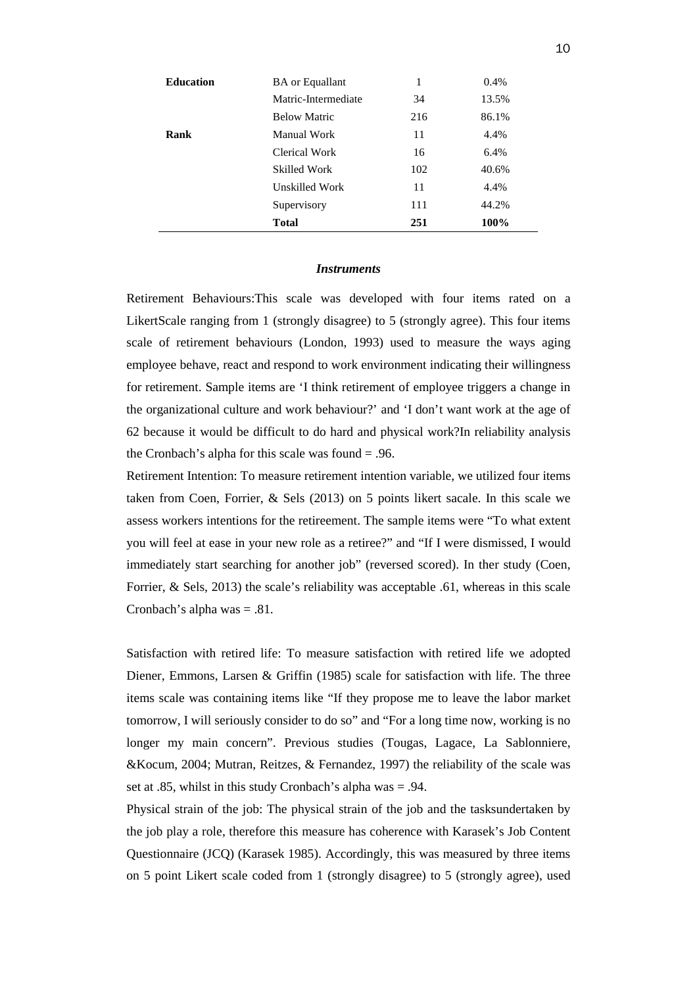| <b>BA</b> or Equallant | 1   | 0.4%  |
|------------------------|-----|-------|
| Matric-Intermediate    | 34  | 13.5% |
| <b>Below Matric</b>    | 216 | 86.1% |
| Manual Work            | 11  | 4.4%  |
| Clerical Work          | 16  | 6.4%  |
| Skilled Work           | 102 | 40.6% |
| Unskilled Work         | 11  | 4.4%  |
| Supervisory            | 111 | 44.2% |
| Total                  | 251 | 100%  |
|                        |     |       |

### *Instruments*

Retirement Behaviours:This scale was developed with four items rated on a LikertScale ranging from 1 (strongly disagree) to 5 (strongly agree). This four items scale of retirement behaviours (London, 1993) used to measure the ways aging employee behave, react and respond to work environment indicating their willingness for retirement. Sample items are 'I think retirement of employee triggers a change in the organizational culture and work behaviour?' and 'I don't want work at the age of 62 because it would be difficult to do hard and physical work?In reliability analysis the Cronbach's alpha for this scale was found = .96.

Retirement Intention: To measure retirement intention variable, we utilized four items taken from Coen, Forrier, & Sels (2013) on 5 points likert sacale. In this scale we assess workers intentions for the retireement. The sample items were "To what extent you will feel at ease in your new role as a retiree?" and "If I were dismissed, I would immediately start searching for another job" (reversed scored). In ther study (Coen, Forrier, & Sels, 2013) the scale's reliability was acceptable .61, whereas in this scale Cronbach's alpha was = .81.

Satisfaction with retired life: To measure satisfaction with retired life we adopted Diener, Emmons, Larsen & Griffin (1985) scale for satisfaction with life. The three items scale was containing items like "If they propose me to leave the labor market tomorrow, I will seriously consider to do so" and "For a long time now, working is no longer my main concern". Previous studies (Tougas, Lagace, La Sablonniere, &Kocum, 2004; Mutran, Reitzes, & Fernandez, 1997) the reliability of the scale was set at .85, whilst in this study Cronbach's alpha was = .94.

Physical strain of the job: The physical strain of the job and the tasksundertaken by the job play a role, therefore this measure has coherence with Karasek's Job Content Questionnaire (JCQ) (Karasek 1985). Accordingly, this was measured by three items on 5 point Likert scale coded from 1 (strongly disagree) to 5 (strongly agree), used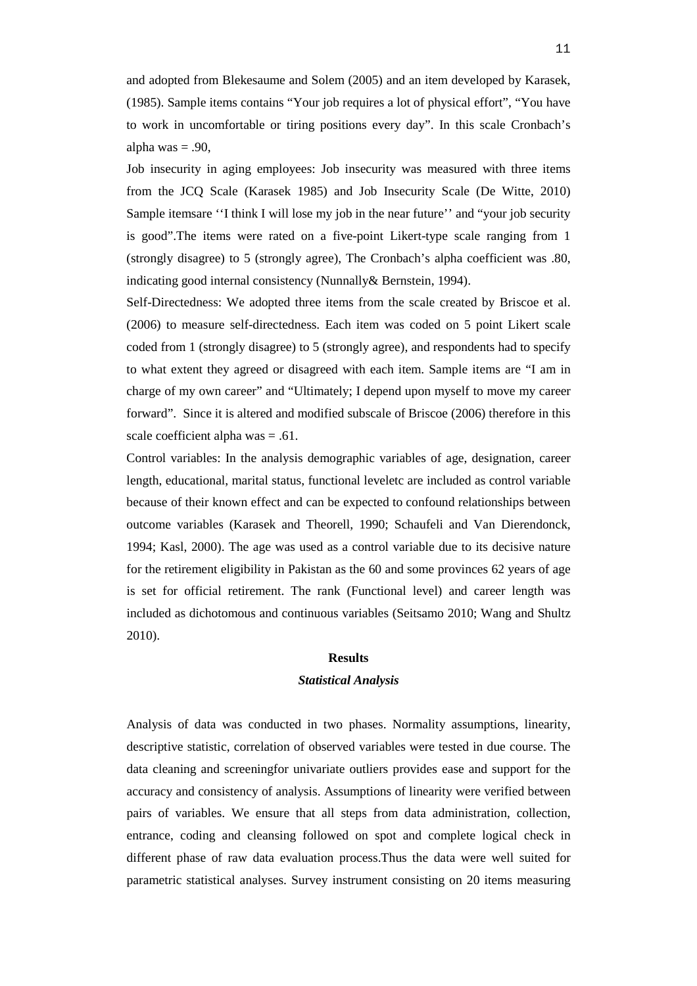and adopted from Blekesaume and Solem (2005) and an item developed by Karasek, (1985). Sample items contains "Your job requires a lot of physical effort", "You have to work in uncomfortable or tiring positions every day". In this scale Cronbach's alpha was  $= .90$ ,

Job insecurity in aging employees: Job insecurity was measured with three items from the JCQ Scale (Karasek 1985) and Job Insecurity Scale (De Witte, 2010) Sample itemsare ''I think I will lose my job in the near future'' and "your job security is good".The items were rated on a five-point Likert-type scale ranging from 1 (strongly disagree) to 5 (strongly agree), The Cronbach's alpha coefficient was .80, indicating good internal consistency (Nunnally& Bernstein, 1994).

Self-Directedness: We adopted three items from the scale created by Briscoe et al. (2006) to measure self-directedness. Each item was coded on 5 point Likert scale coded from 1 (strongly disagree) to 5 (strongly agree), and respondents had to specify to what extent they agreed or disagreed with each item. Sample items are "I am in charge of my own career" and "Ultimately; I depend upon myself to move my career forward". Since it is altered and modified subscale of Briscoe (2006) therefore in this scale coefficient alpha was = .61.

Control variables: In the analysis demographic variables of age, designation, career length, educational, marital status, functional leveletc are included as control variable because of their known effect and can be expected to confound relationships between outcome variables (Karasek and Theorell, 1990; Schaufeli and Van Dierendonck, 1994; Kasl, 2000). The age was used as a control variable due to its decisive nature for the retirement eligibility in Pakistan as the 60 and some provinces 62 years of age is set for official retirement. The rank (Functional level) and career length was included as dichotomous and continuous variables (Seitsamo 2010; Wang and Shultz 2010).

### **Results**

### *Statistical Analysis*

Analysis of data was conducted in two phases. Normality assumptions, linearity, descriptive statistic, correlation of observed variables were tested in due course. The data cleaning and screeningfor univariate outliers provides ease and support for the accuracy and consistency of analysis. Assumptions of linearity were verified between pairs of variables. We ensure that all steps from data administration, collection, entrance, coding and cleansing followed on spot and complete logical check in different phase of raw data evaluation process.Thus the data were well suited for parametric statistical analyses. Survey instrument consisting on 20 items measuring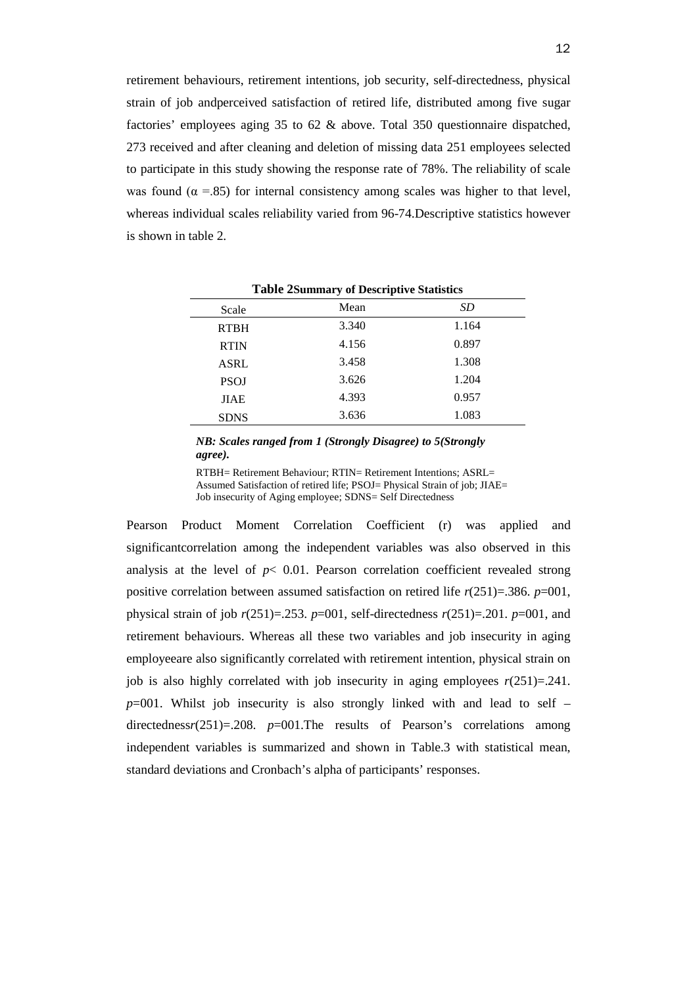retirement behaviours, retirement intentions, job security, self-directedness, physical strain of job andperceived satisfaction of retired life, distributed among five sugar factories' employees aging 35 to 62 & above. Total 350 questionnaire dispatched, 273 received and after cleaning and deletion of missing data 251 employees selected to participate in this study showing the response rate of 78%. The reliability of scale was found ( $\alpha$  =.85) for internal consistency among scales was higher to that level, whereas individual scales reliability varied from 96-74.Descriptive statistics however is shown in table 2.

| Table multimary of Descriptive blatistics |       |       |  |  |  |  |
|-------------------------------------------|-------|-------|--|--|--|--|
| Scale                                     | Mean  | SD    |  |  |  |  |
| <b>RTBH</b>                               | 3.340 | 1.164 |  |  |  |  |
| <b>RTIN</b>                               | 4.156 | 0.897 |  |  |  |  |
| <b>ASRL</b>                               | 3.458 | 1.308 |  |  |  |  |
| <b>PSOJ</b>                               | 3.626 | 1.204 |  |  |  |  |
| <b>JIAE</b>                               | 4.393 | 0.957 |  |  |  |  |
| <b>SDNS</b>                               | 3.636 | 1.083 |  |  |  |  |

**Table 2Summary of Descriptive Statistics**

## *NB: Scales ranged from 1 (Strongly Disagree) to 5(Strongly agree).*

RTBH= Retirement Behaviour; RTIN= Retirement Intentions; ASRL= Assumed Satisfaction of retired life; PSOJ= Physical Strain of job; JIAE= Job insecurity of Aging employee; SDNS= Self Directedness

Pearson Product Moment Correlation Coefficient (r) was applied and significantcorrelation among the independent variables was also observed in this analysis at the level of  $p < 0.01$ . Pearson correlation coefficient revealed strong positive correlation between assumed satisfaction on retired life  $r(251)=386$ .  $p=001$ , physical strain of job *r*(251)=.253. *p*=001, self-directedness *r*(251)=.201. *p*=001, and retirement behaviours. Whereas all these two variables and job insecurity in aging employeeare also significantly correlated with retirement intention, physical strain on job is also highly correlated with job insecurity in aging employees  $r(251)=.241$ . *p*=001. Whilst job insecurity is also strongly linked with and lead to self – directedness*r*(251)=.208. *p*=001.The results of Pearson's correlations among independent variables is summarized and shown in Table.3 with statistical mean, standard deviations and Cronbach's alpha of participants' responses.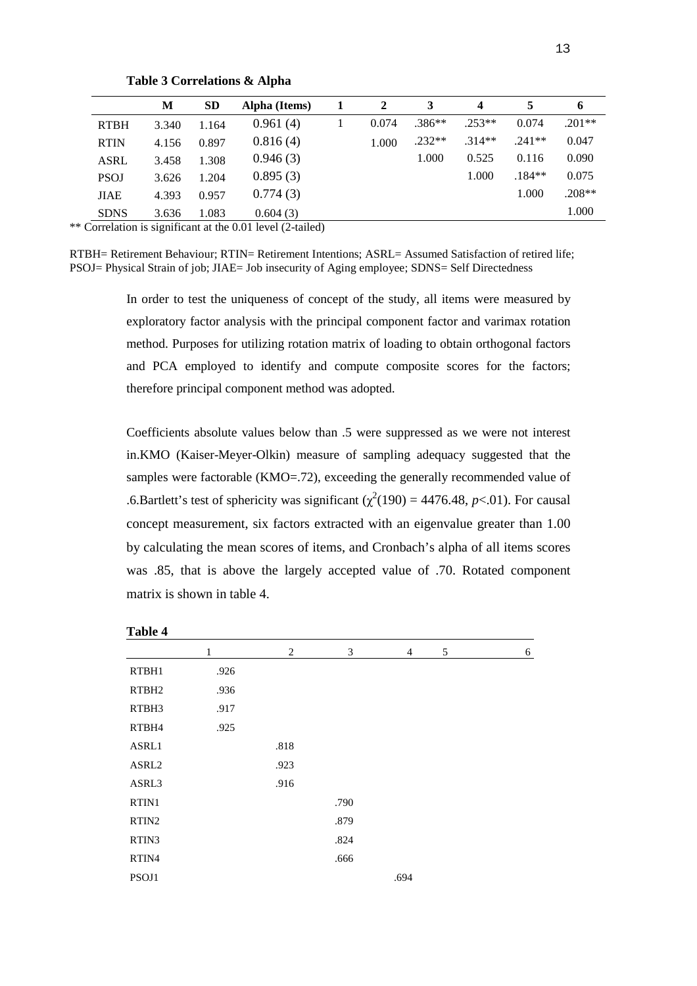|             | М     | <b>SD</b> | Alpha (Items)                                                       | 2     | 3        | $\boldsymbol{4}$ | 5        | 6        |
|-------------|-------|-----------|---------------------------------------------------------------------|-------|----------|------------------|----------|----------|
| <b>RTBH</b> | 3.340 | 1.164     | 0.961(4)                                                            | 0.074 | $.386**$ | $.253**$         | 0.074    | $.201**$ |
| <b>RTIN</b> | 4.156 | 0.897     | 0.816(4)                                                            | 1.000 | $.232**$ | $.314**$         | $.241**$ | 0.047    |
| <b>ASRL</b> | 3.458 | 1.308     | 0.946(3)                                                            |       | 1.000    | 0.525            | 0.116    | 0.090    |
| <b>PSOJ</b> | 3.626 | 1.204     | 0.895(3)                                                            |       |          | 1.000            | $.184**$ | 0.075    |
| <b>JIAE</b> | 4.393 | 0.957     | 0.774(3)                                                            |       |          |                  | 1.000    | $.208**$ |
| <b>SDNS</b> | 3.636 | 1.083     | 0.604(3)                                                            |       |          |                  |          | 1.000    |
|             |       |           | Correlation is significant at the $0.01$ level $(2 \text{-tailed})$ |       |          |                  |          |          |

**Table 3 Correlations & Alpha**

\*\* Correlation is significant at the 0.01 level (2-tailed)

RTBH= Retirement Behaviour; RTIN= Retirement Intentions; ASRL= Assumed Satisfaction of retired life; PSOJ= Physical Strain of job; JIAE= Job insecurity of Aging employee; SDNS= Self Directedness

> In order to test the uniqueness of concept of the study, all items were measured by exploratory factor analysis with the principal component factor and varimax rotation method. Purposes for utilizing rotation matrix of loading to obtain orthogonal factors and PCA employed to identify and compute composite scores for the factors; therefore principal component method was adopted.

> Coefficients absolute values below than .5 were suppressed as we were not interest in.KMO (Kaiser-Meyer-Olkin) measure of sampling adequacy suggested that the samples were factorable (KMO=.72), exceeding the generally recommended value of .6.Bartlett's test of sphericity was significant ( $\chi^2(190) = 4476.48$ , *p*<.01). For causal concept measurement, six factors extracted with an eigenvalue greater than 1.00 by calculating the mean scores of items, and Cronbach's alpha of all items scores was .85, that is above the largely accepted value of .70. Rotated component matrix is shown in table 4.

| 1 avit 7          |              |                |      |                |   |   |
|-------------------|--------------|----------------|------|----------------|---|---|
|                   | $\mathbf{1}$ | $\overline{2}$ | 3    | $\overline{4}$ | 5 | 6 |
| RTBH1             | .926         |                |      |                |   |   |
| RTBH <sub>2</sub> | .936         |                |      |                |   |   |
| RTBH3             | .917         |                |      |                |   |   |
| RTBH4             | .925         |                |      |                |   |   |
| ASRL1             |              | .818           |      |                |   |   |
| ASRL2             |              | .923           |      |                |   |   |
| ASRL3             |              | .916           |      |                |   |   |
| RTIN1             |              |                | .790 |                |   |   |
| RTIN <sub>2</sub> |              |                | .879 |                |   |   |
| RTIN3             |              |                | .824 |                |   |   |
| RTIN4             |              |                | .666 |                |   |   |
| PSOJ1             |              |                |      | .694           |   |   |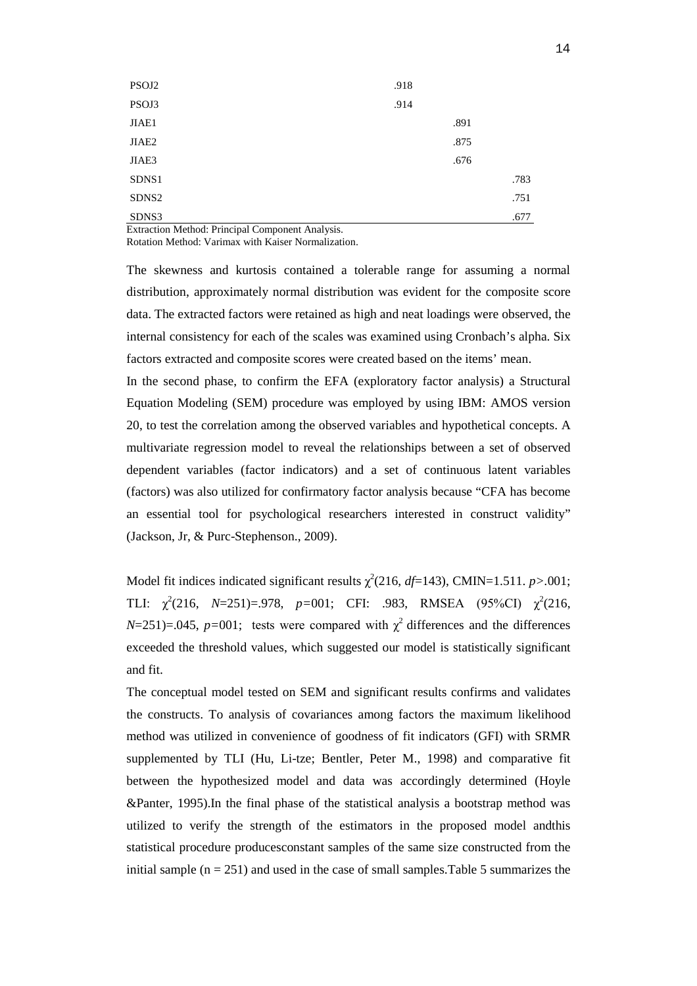| PSOJ2             | .918 |      |      |
|-------------------|------|------|------|
| PSOJ3             | .914 |      |      |
| JIAE1             |      | .891 |      |
| JIAE2             |      | .875 |      |
| JIAE3             |      | .676 |      |
| SDNS1             |      |      | .783 |
| SDNS <sub>2</sub> |      |      | .751 |
| SDNS3<br>.<br>.   |      |      | .677 |

Extraction Method: Principal Component Analysis.

Rotation Method: Varimax with Kaiser Normalization.

The skewness and kurtosis contained a tolerable range for assuming a normal distribution, approximately normal distribution was evident for the composite score data. The extracted factors were retained as high and neat loadings were observed, the internal consistency for each of the scales was examined using Cronbach's alpha. Six factors extracted and composite scores were created based on the items' mean.

In the second phase, to confirm the EFA (exploratory factor analysis) a Structural Equation Modeling (SEM) procedure was employed by using IBM: AMOS version 20, to test the correlation among the observed variables and hypothetical concepts. A multivariate regression model to reveal the relationships between a set of observed dependent variables (factor indicators) and a set of continuous latent variables (factors) was also utilized for confirmatory factor analysis because "CFA has become an essential tool for psychological researchers interested in construct validity" (Jackson, Jr, & Purc-Stephenson., 2009).

Model fit indices indicated significant results  $\chi^2(216, df=143)$ , CMIN=1.511. *p*>.001; TLI:  $\chi^2(216, N=251)=0.978, p=0.01; \text{CFI: } .983, RMSEA (95\%CI) \chi^2(216,$  $N=251$ )=.045,  $p=001$ ; tests were compared with  $\chi^2$  differences and the differences exceeded the threshold values, which suggested our model is statistically significant and fit.

The conceptual model tested on SEM and significant results confirms and validates the constructs. To analysis of covariances among factors the maximum likelihood method was utilized in convenience of goodness of fit indicators (GFI) with SRMR supplemented by TLI (Hu, Li-tze; Bentler, Peter M., 1998) and comparative fit between the hypothesized model and data was accordingly determined (Hoyle &Panter, 1995).In the final phase of the statistical analysis a bootstrap method was utilized to verify the strength of the estimators in the proposed model andthis statistical procedure producesconstant samples of the same size constructed from the initial sample  $(n = 251)$  and used in the case of small samples. Table 5 summarizes the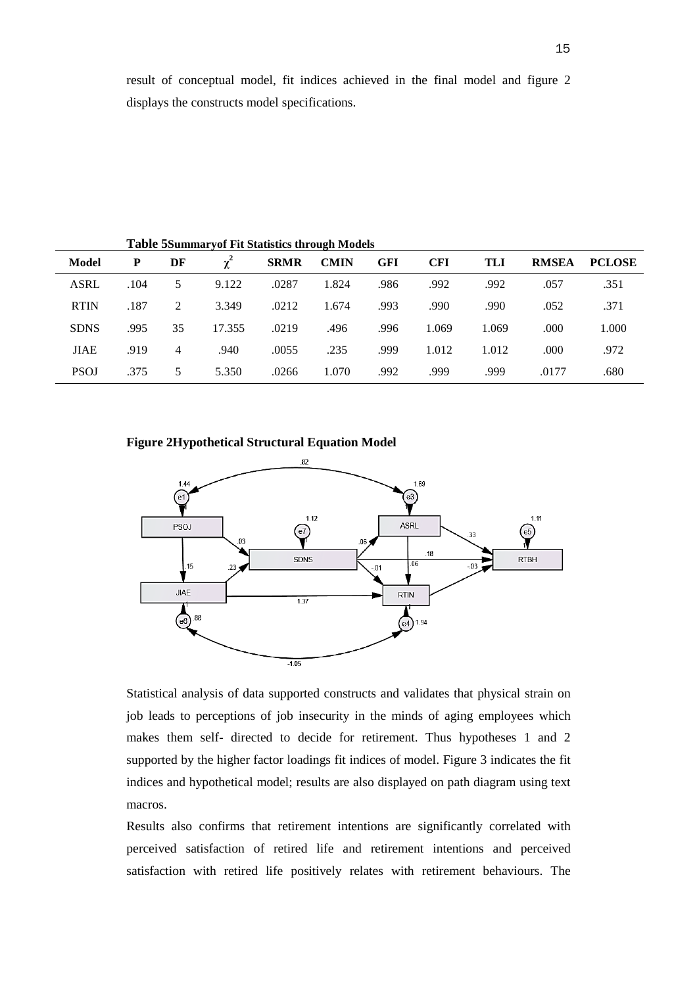|             |      |    | Table SSummary of Fit Statistics through Models |             |             |            |            |       |              |               |
|-------------|------|----|-------------------------------------------------|-------------|-------------|------------|------------|-------|--------------|---------------|
| Model       | P    | DF | $\chi^2$                                        | <b>SRMR</b> | <b>CMIN</b> | <b>GFI</b> | <b>CFI</b> | TLI   | <b>RMSEA</b> | <b>PCLOSE</b> |
| <b>ASRL</b> | .104 | 5. | 9.122                                           | .0287       | 1.824       | .986       | .992       | .992  | .057         | .351          |
| <b>RTIN</b> | .187 | 2  | 3.349                                           | .0212       | 1.674       | .993       | .990       | .990  | .052         | .371          |
| <b>SDNS</b> | .995 | 35 | 17.355                                          | .0219       | .496        | .996       | 1.069      | 1.069 | .000         | 1.000         |
| <b>JIAE</b> | .919 | 4  | .940                                            | .0055       | .235        | .999       | 1.012      | 1.012 | .000.        | .972          |
| <b>PSOJ</b> | .375 | 5  | 5.350                                           | .0266       | 1.070       | .992       | .999       | .999  | .0177        | .680          |

**Table 5Summaryof Fit Statistics through Models**

## **Figure 2Hypothetical Structural Equation Model**



Statistical analysis of data supported constructs and validates that physical strain on job leads to perceptions of job insecurity in the minds of aging employees which makes them self- directed to decide for retirement. Thus hypotheses 1 and 2 supported by the higher factor loadings fit indices of model. Figure 3 indicates the fit indices and hypothetical model; results are also displayed on path diagram using text macros.

Results also confirms that retirement intentions are significantly correlated with perceived satisfaction of retired life and retirement intentions and perceived satisfaction with retired life positively relates with retirement behaviours. The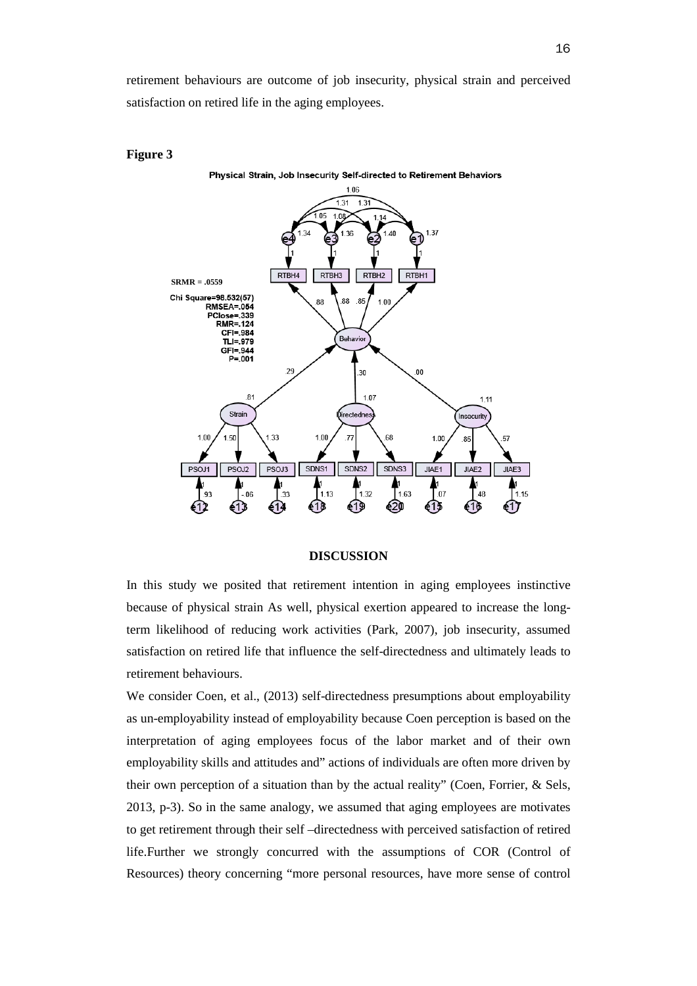retirement behaviours are outcome of job insecurity, physical strain and perceived satisfaction on retired life in the aging employees.



#### **Figure 3**

#### **DISCUSSION**

In this study we posited that retirement intention in aging employees instinctive because of physical strain As well, physical exertion appeared to increase the longterm likelihood of reducing work activities (Park, 2007), job insecurity, assumed satisfaction on retired life that influence the self-directedness and ultimately leads to retirement behaviours.

We consider Coen, et al., (2013) self-directedness presumptions about employability as un-employability instead of employability because Coen perception is based on the interpretation of aging employees focus of the labor market and of their own employability skills and attitudes and" actions of individuals are often more driven by their own perception of a situation than by the actual reality" (Coen, Forrier, & Sels, 2013, p-3). So in the same analogy, we assumed that aging employees are motivates to get retirement through their self –directedness with perceived satisfaction of retired life.Further we strongly concurred with the assumptions of COR (Control of Resources) theory concerning "more personal resources, have more sense of control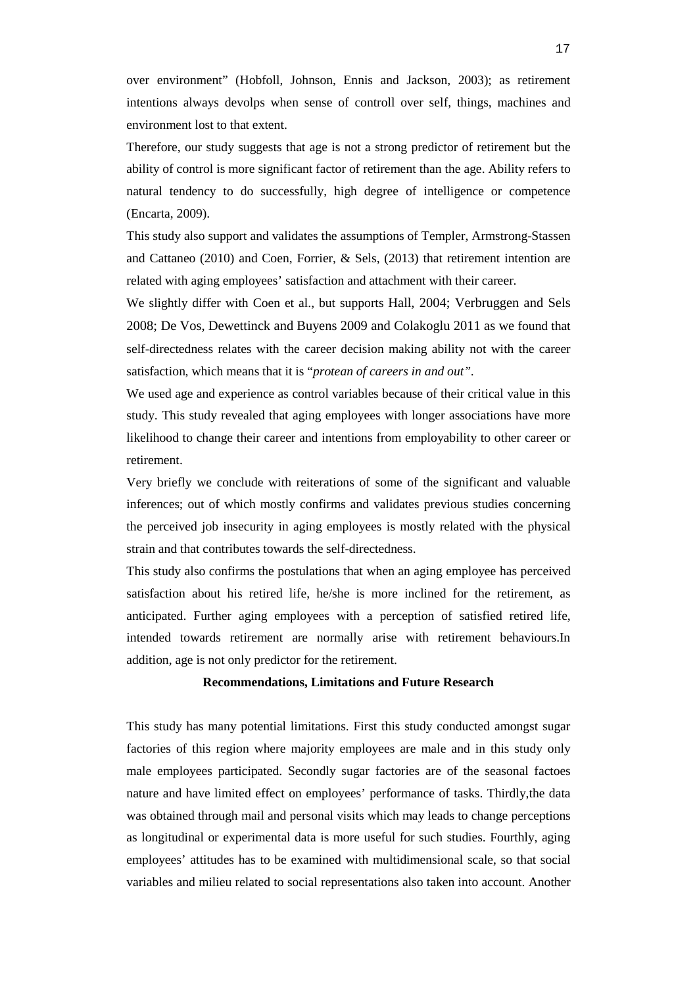over environment" (Hobfoll, Johnson, Ennis and Jackson, 2003); as retirement intentions always devolps when sense of controll over self, things, machines and environment lost to that extent.

Therefore, our study suggests that age is not a strong predictor of retirement but the ability of control is more significant factor of retirement than the age. Ability refers to natural tendency to do successfully, high degree of intelligence or competence (Encarta, 2009).

This study also support and validates the assumptions of Templer, Armstrong-Stassen and Cattaneo (2010) and Coen, Forrier, & Sels, (2013) that retirement intention are related with aging employees' satisfaction and attachment with their career.

We slightly differ with Coen et al., but supports Hall, 2004; Verbruggen and Sels 2008; De Vos, Dewettinck and Buyens 2009 and Colakoglu 2011 as we found that self-directedness relates with the career decision making ability not with the career satisfaction, which means that it is "*protean of careers in and out".*

We used age and experience as control variables because of their critical value in this study. This study revealed that aging employees with longer associations have more likelihood to change their career and intentions from employability to other career or retirement.

Very briefly we conclude with reiterations of some of the significant and valuable inferences; out of which mostly confirms and validates previous studies concerning the perceived job insecurity in aging employees is mostly related with the physical strain and that contributes towards the self-directedness.

This study also confirms the postulations that when an aging employee has perceived satisfaction about his retired life, he/she is more inclined for the retirement, as anticipated. Further aging employees with a perception of satisfied retired life, intended towards retirement are normally arise with retirement behaviours.In addition, age is not only predictor for the retirement.

#### **Recommendations, Limitations and Future Research**

This study has many potential limitations. First this study conducted amongst sugar factories of this region where majority employees are male and in this study only male employees participated. Secondly sugar factories are of the seasonal factoes nature and have limited effect on employees' performance of tasks. Thirdly,the data was obtained through mail and personal visits which may leads to change perceptions as longitudinal or experimental data is more useful for such studies. Fourthly, aging employees' attitudes has to be examined with multidimensional scale, so that social variables and milieu related to social representations also taken into account. Another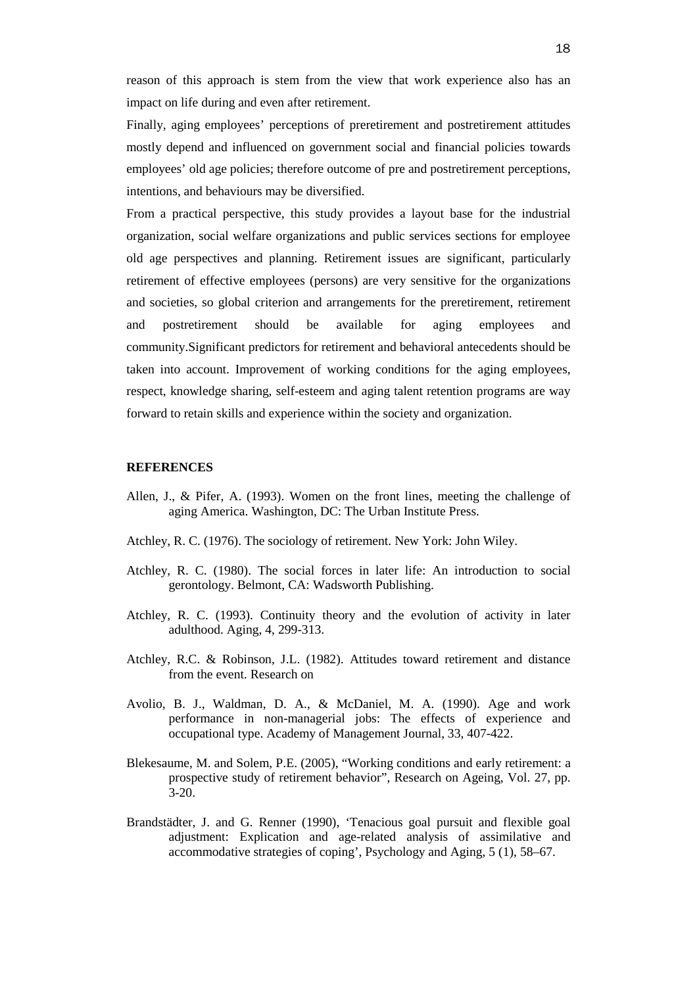reason of this approach is stem from the view that work experience also has an impact on life during and even after retirement.

Finally, aging employees' perceptions of preretirement and postretirement attitudes mostly depend and influenced on government social and financial policies towards employees' old age policies; therefore outcome of pre and postretirement perceptions, intentions, and behaviours may be diversified.

From a practical perspective, this study provides a layout base for the industrial organization, social welfare organizations and public services sections for employee old age perspectives and planning. Retirement issues are significant, particularly retirement of effective employees (persons) are very sensitive for the organizations and societies, so global criterion and arrangements for the preretirement, retirement and postretirement should be available for aging employees and community.Significant predictors for retirement and behavioral antecedents should be taken into account. Improvement of working conditions for the aging employees, respect, knowledge sharing, self-esteem and aging talent retention programs are way forward to retain skills and experience within the society and organization.

## **REFERENCES**

- Allen, J., & Pifer, A. (1993). Women on the front lines, meeting the challenge of aging America. Washington, DC: The Urban Institute Press.
- Atchley, R. C. (1976). The sociology of retirement. New York: John Wiley.
- Atchley, R. C. (1980). The social forces in later life: An introduction to social gerontology. Belmont, CA: Wadsworth Publishing.
- Atchley, R. C. (1993). Continuity theory and the evolution of activity in later adulthood. Aging, 4, 299-313.
- Atchley, R.C. & Robinson, J.L. (1982). Attitudes toward retirement and distance from the event. Research on
- Avolio, B. J., Waldman, D. A., & McDaniel, M. A. (1990). Age and work performance in non-managerial jobs: The effects of experience and occupational type. Academy of Management Journal, 33, 407-422.
- Blekesaume, M. and Solem, P.E. (2005), "Working conditions and early retirement: a prospective study of retirement behavior", Research on Ageing, Vol. 27, pp. 3-20.
- Brandstädter, J. and G. Renner (1990), 'Tenacious goal pursuit and flexible goal adjustment: Explication and age-related analysis of assimilative and accommodative strategies of coping', Psychology and Aging, 5 (1), 58–67.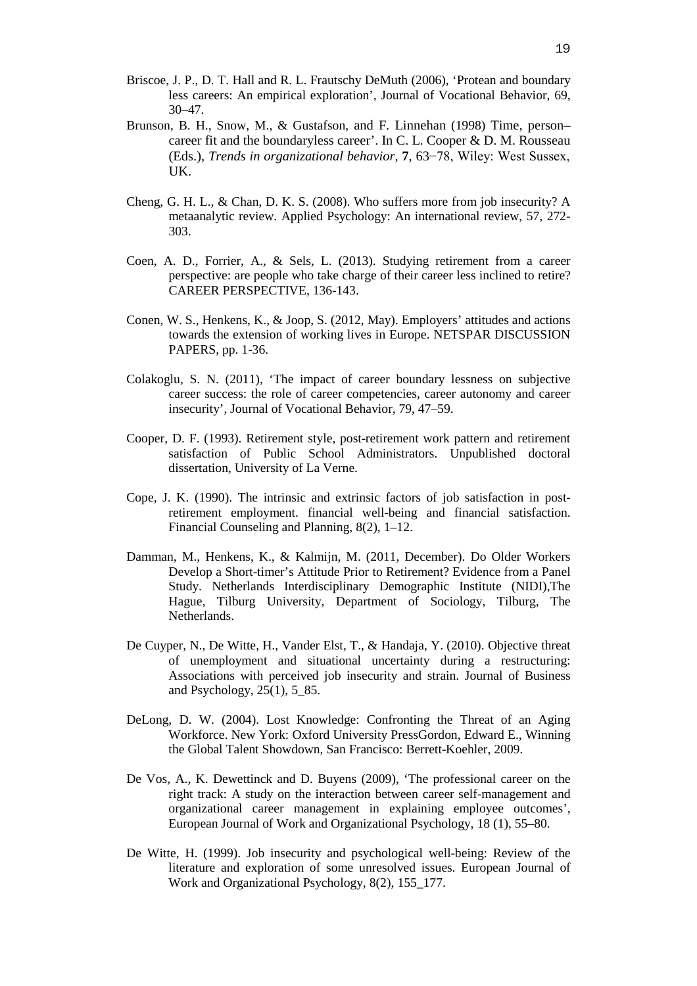- Briscoe, J. P., D. T. Hall and R. L. Frautschy DeMuth (2006), 'Protean and boundary less careers: An empirical exploration', Journal of Vocational Behavior, 69, 30–47.
- Brunson, B. H., Snow, M., & Gustafson, and F. Linnehan (1998) Time, person– career fit and the boundaryless career'. In C. L. Cooper & D. M. Rousseau (Eds.), *Trends in organizational behavior,* **7**, 63−78, Wiley: West Sussex, UK.
- Cheng, G. H. L., & Chan, D. K. S. (2008). Who suffers more from job insecurity? A metaanalytic review. Applied Psychology: An international review, 57, 272- 303.
- Coen, A. D., Forrier, A., & Sels, L. (2013). Studying retirement from a career perspective: are people who take charge of their career less inclined to retire? CAREER PERSPECTIVE, 136-143.
- Conen, W. S., Henkens, K., & Joop, S. (2012, May). Employers' attitudes and actions towards the extension of working lives in Europe. NETSPAR DISCUSSION PAPERS, pp. 1-36.
- Colakoglu, S. N. (2011), 'The impact of career boundary lessness on subjective career success: the role of career competencies, career autonomy and career insecurity', Journal of Vocational Behavior, 79, 47–59.
- Cooper, D. F. (1993). Retirement style, post-retirement work pattern and retirement satisfaction of Public School Administrators. Unpublished doctoral dissertation, University of La Verne.
- Cope, J. K. (1990). The intrinsic and extrinsic factors of job satisfaction in postretirement employment. financial well-being and financial satisfaction. Financial Counseling and Planning, 8(2), 1–12.
- Damman, M., Henkens, K., & Kalmijn, M. (2011, December). Do Older Workers Develop a Short-timer's Attitude Prior to Retirement? Evidence from a Panel Study. Netherlands Interdisciplinary Demographic Institute (NIDI),The Hague, Tilburg University, Department of Sociology, Tilburg, The Netherlands.
- De Cuyper, N., De Witte, H., Vander Elst, T., & Handaja, Y. (2010). Objective threat of unemployment and situational uncertainty during a restructuring: Associations with perceived job insecurity and strain. Journal of Business and Psychology, 25(1), 5\_85.
- DeLong, D. W. (2004). Lost Knowledge: Confronting the Threat of an Aging Workforce. New York: Oxford University PressGordon, Edward E., Winning the Global Talent Showdown, San Francisco: Berrett-Koehler, 2009.
- De Vos, A., K. Dewettinck and D. Buyens (2009), 'The professional career on the right track: A study on the interaction between career self-management and organizational career management in explaining employee outcomes', European Journal of Work and Organizational Psychology, 18 (1), 55–80.
- De Witte, H. (1999). Job insecurity and psychological well-being: Review of the literature and exploration of some unresolved issues. European Journal of Work and Organizational Psychology, 8(2), 155\_177.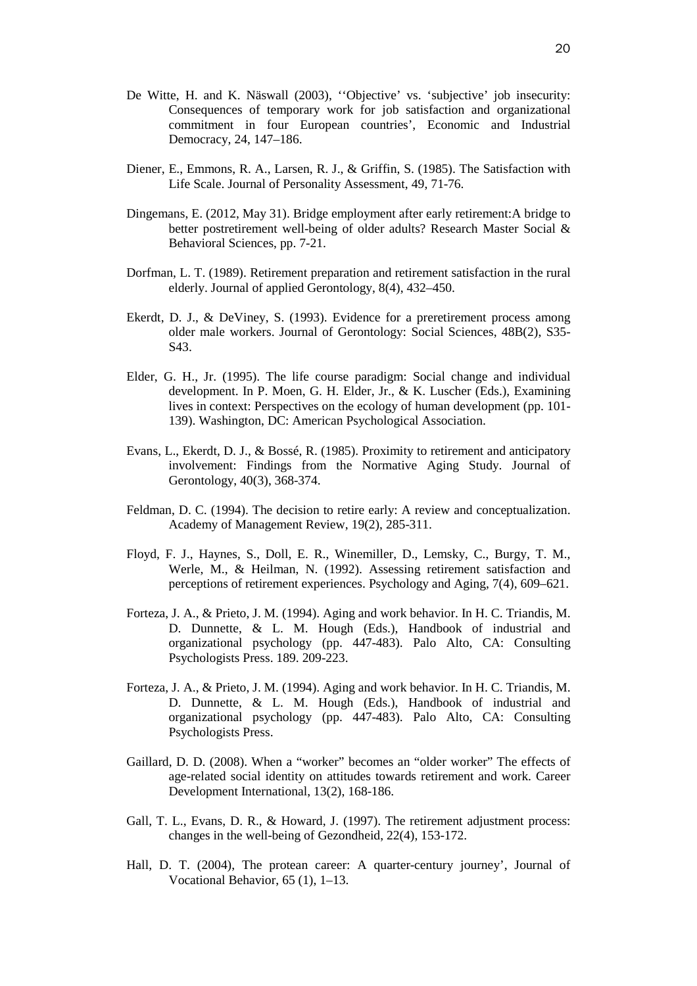- De Witte, H. and K. Näswall (2003), ''Objective' vs. 'subjective' job insecurity: Consequences of temporary work for job satisfaction and organizational commitment in four European countries', Economic and Industrial Democracy, 24, 147–186.
- Diener, E., Emmons, R. A., Larsen, R. J., & Griffin, S. (1985). The Satisfaction with Life Scale. Journal of Personality Assessment, 49, 71-76.
- Dingemans, E. (2012, May 31). Bridge employment after early retirement:A bridge to better postretirement well-being of older adults? Research Master Social & Behavioral Sciences, pp. 7-21.
- Dorfman, L. T. (1989). Retirement preparation and retirement satisfaction in the rural elderly. Journal of applied Gerontology, 8(4), 432–450.
- Ekerdt, D. J., & DeViney, S. (1993). Evidence for a preretirement process among older male workers. Journal of Gerontology: Social Sciences, 48B(2), S35- S43.
- Elder, G. H., Jr. (1995). The life course paradigm: Social change and individual development. In P. Moen, G. H. Elder, Jr., & K. Luscher (Eds.), Examining lives in context: Perspectives on the ecology of human development (pp. 101- 139). Washington, DC: American Psychological Association.
- Evans, L., Ekerdt, D. J., & Bossé, R. (1985). Proximity to retirement and anticipatory involvement: Findings from the Normative Aging Study. Journal of Gerontology, 40(3), 368-374.
- Feldman, D. C. (1994). The decision to retire early: A review and conceptualization. Academy of Management Review, 19(2), 285-311.
- Floyd, F. J., Haynes, S., Doll, E. R., Winemiller, D., Lemsky, C., Burgy, T. M., Werle, M., & Heilman, N. (1992). Assessing retirement satisfaction and perceptions of retirement experiences. Psychology and Aging, 7(4), 609–621.
- Forteza, J. A., & Prieto, J. M. (1994). Aging and work behavior. In H. C. Triandis, M. D. Dunnette, & L. M. Hough (Eds.), Handbook of industrial and organizational psychology (pp. 447-483). Palo Alto, CA: Consulting Psychologists Press. 189. 209-223.
- Forteza, J. A., & Prieto, J. M. (1994). Aging and work behavior. In H. C. Triandis, M. D. Dunnette, & L. M. Hough (Eds.), Handbook of industrial and organizational psychology (pp. 447-483). Palo Alto, CA: Consulting Psychologists Press.
- Gaillard, D. D. (2008). When a "worker" becomes an "older worker" The effects of age-related social identity on attitudes towards retirement and work. Career Development International, 13(2), 168-186.
- Gall, T. L., Evans, D. R., & Howard, J. (1997). The retirement adjustment process: changes in the well-being of Gezondheid, 22(4), 153-172.
- Hall, D. T. (2004), The protean career: A quarter-century journey', Journal of Vocational Behavior, 65 (1), 1–13.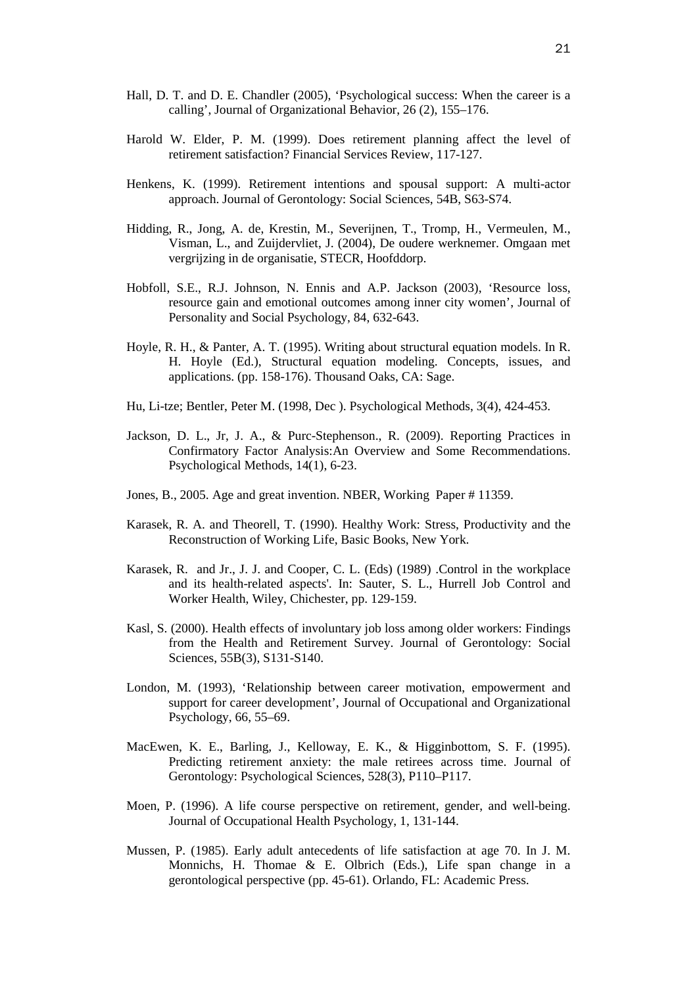- Hall, D. T. and D. E. Chandler (2005), 'Psychological success: When the career is a calling', Journal of Organizational Behavior, 26 (2), 155–176.
- Harold W. Elder, P. M. (1999). Does retirement planning affect the level of retirement satisfaction? Financial Services Review, 117-127.
- Henkens, K. (1999). Retirement intentions and spousal support: A multi-actor approach. Journal of Gerontology: Social Sciences, 54B, S63-S74.
- Hidding, R., Jong, A. de, Krestin, M., Severijnen, T., Tromp, H., Vermeulen, M., Visman, L., and Zuijdervliet, J. (2004), De oudere werknemer. Omgaan met vergrijzing in de organisatie, STECR, Hoofddorp.
- Hobfoll, S.E., R.J. Johnson, N. Ennis and A.P. Jackson (2003), 'Resource loss, resource gain and emotional outcomes among inner city women', Journal of Personality and Social Psychology, 84, 632-643.
- Hoyle, R. H., & Panter, A. T. (1995). Writing about structural equation models. In R. H. Hoyle (Ed.), Structural equation modeling. Concepts, issues, and applications. (pp. 158-176). Thousand Oaks, CA: Sage.
- Hu, Li-tze; Bentler, Peter M. (1998, Dec ). Psychological Methods, 3(4), 424-453.
- Jackson, D. L., Jr, J. A., & Purc-Stephenson., R. (2009). Reporting Practices in Confirmatory Factor Analysis:An Overview and Some Recommendations. Psychological Methods, 14(1), 6-23.
- Jones, B., 2005. Age and great invention. NBER, Working Paper # 11359.
- Karasek, R. A. and Theorell, T. (1990). Healthy Work: Stress, Productivity and the Reconstruction of Working Life, Basic Books, New York.
- Karasek, R. and Jr., J. J. and Cooper, C. L. (Eds) (1989) .Control in the workplace and its health-related aspects'. In: Sauter, S. L., Hurrell Job Control and Worker Health, Wiley, Chichester, pp. 129-159.
- Kasl, S. (2000). Health effects of involuntary job loss among older workers: Findings from the Health and Retirement Survey. Journal of Gerontology: Social Sciences, 55B(3), S131-S140.
- London, M. (1993), 'Relationship between career motivation, empowerment and support for career development', Journal of Occupational and Organizational Psychology, 66, 55–69.
- MacEwen, K. E., Barling, J., Kelloway, E. K., & Higginbottom, S. F. (1995). Predicting retirement anxiety: the male retirees across time. Journal of Gerontology: Psychological Sciences, 528(3), P110–P117.
- Moen, P. (1996). A life course perspective on retirement, gender, and well-being. Journal of Occupational Health Psychology, 1, 131-144.
- Mussen, P. (1985). Early adult antecedents of life satisfaction at age 70. In J. M. Monnichs, H. Thomae & E. Olbrich (Eds.), Life span change in a gerontological perspective (pp. 45-61). Orlando, FL: Academic Press.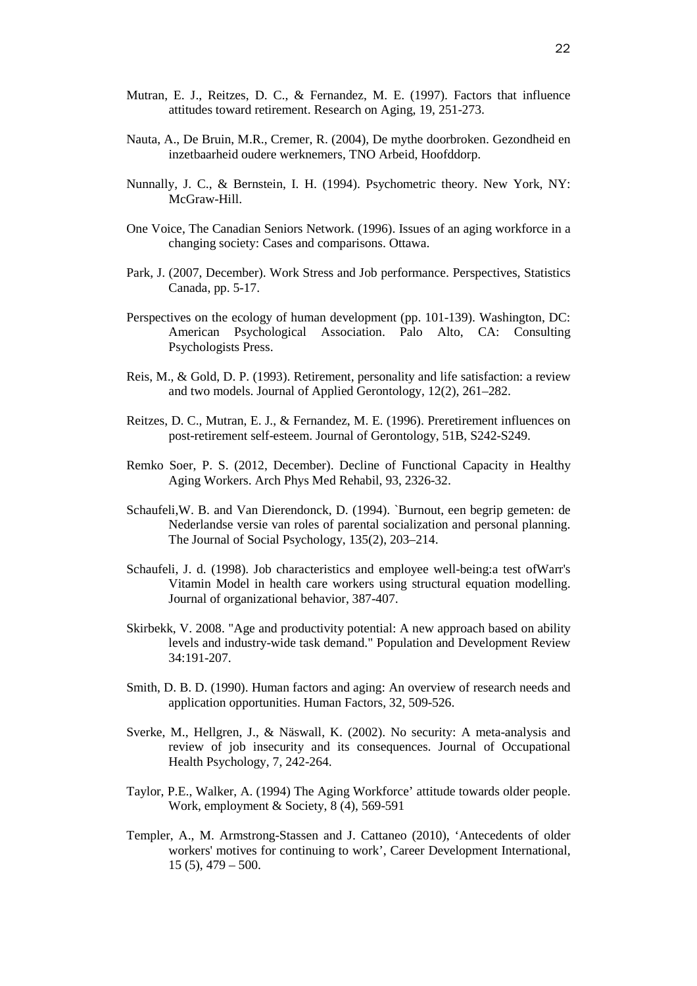- Mutran, E. J., Reitzes, D. C., & Fernandez, M. E. (1997). Factors that influence attitudes toward retirement. Research on Aging, 19, 251-273.
- Nauta, A., De Bruin, M.R., Cremer, R. (2004), De mythe doorbroken. Gezondheid en inzetbaarheid oudere werknemers, TNO Arbeid, Hoofddorp.
- Nunnally, J. C., & Bernstein, I. H. (1994). Psychometric theory. New York, NY: McGraw-Hill.
- One Voice, The Canadian Seniors Network. (1996). Issues of an aging workforce in a changing society: Cases and comparisons. Ottawa.
- Park, J. (2007, December). Work Stress and Job performance. Perspectives, Statistics Canada, pp. 5-17.
- Perspectives on the ecology of human development (pp. 101-139). Washington, DC: American Psychological Association. Palo Alto, CA: Consulting Psychologists Press.
- Reis, M., & Gold, D. P. (1993). Retirement, personality and life satisfaction: a review and two models. Journal of Applied Gerontology, 12(2), 261–282.
- Reitzes, D. C., Mutran, E. J., & Fernandez, M. E. (1996). Preretirement influences on post-retirement self-esteem. Journal of Gerontology, 51B, S242-S249.
- Remko Soer, P. S. (2012, December). Decline of Functional Capacity in Healthy Aging Workers. Arch Phys Med Rehabil, 93, 2326-32.
- Schaufeli,W. B. and Van Dierendonck, D. (1994). `Burnout, een begrip gemeten: de Nederlandse versie van roles of parental socialization and personal planning. The Journal of Social Psychology, 135(2), 203–214.
- Schaufeli, J. d. (1998). Job characteristics and employee well-being:a test ofWarr's Vitamin Model in health care workers using structural equation modelling. Journal of organizational behavior, 387-407.
- Skirbekk, V. 2008. "Age and productivity potential: A new approach based on ability levels and industry-wide task demand." Population and Development Review 34:191-207.
- Smith, D. B. D. (1990). Human factors and aging: An overview of research needs and application opportunities. Human Factors, 32, 509-526.
- Sverke, M., Hellgren, J., & Näswall, K. (2002). No security: A meta-analysis and review of job insecurity and its consequences. Journal of Occupational Health Psychology, 7, 242-264.
- Taylor, P.E., Walker, A. (1994) The Aging Workforce' attitude towards older people. Work, employment & Society, 8 (4), 569-591
- Templer, A., M. Armstrong-Stassen and J. Cattaneo (2010), 'Antecedents of older workers' motives for continuing to work', Career Development International,  $15(5)$ ,  $479-500$ .